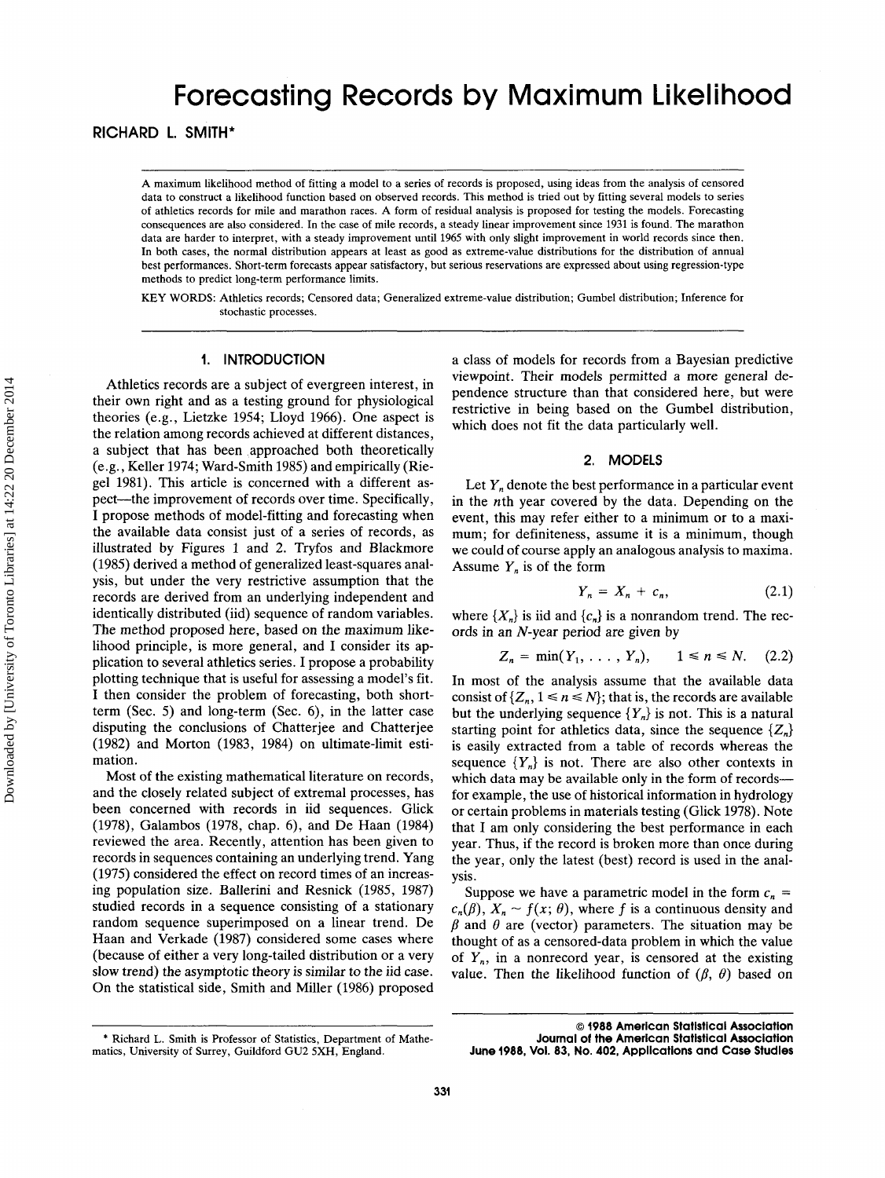# Forecasting Records by Maximum Likelihood

**RICHARD L. SMITH\*** 

**A** maximum likelihood method of fitting a model to a series of records is proposed, using ideas from the analysis of censored data to construct a likelihood function based on observed records. This method is tried out by fitting several models to series of athletics records for mile and marathon races. **A** form of residual analysis is proposed for testing the models. Forecasting consequences are also considered. In the case of mile records, a steady linear improvement since 1931 **is** found. The marathon data are harder to interpret, with a steady improvement until 1965 with only slight improvement in world records since then. In both cases, the normal distribution appears at least as good as extreme-value distributions for the distribution of annual best performances. Short-term forecasts appear satisfactory, but serious reservations are expressed about using regression-type methods to predict long-term performance limits.

**KEY** WORDS: Athletics records; Censored data; Generalized extreme-value distribution; Gumbel distribution; Inference for stochastic processes.

## **1. INTRODUCTION**

Athletics records are a subject of evergreen interest, in their own right and as a testing ground for physiological theories (e.g., Lietzke 1954; Lloyd 1966). One aspect is the relation among records achieved at different distances, a subject that has been approached both theoretically (e.g., Keller 1974; Ward-Smith 1985) and empirically (Riegel 1981). This article is concerned with a different aspect--the improvement of records over time. Specifically, **I** propose methods of model-fitting and forecasting when the available data consist just of a series of records, as illustrated by Figures 1 and 2. Tryfos and Blackmore (1985) derived a method of generalized least-squares analysis, but under the very restrictive assumption that the records are derived from an underlying independent and identically distributed (iid) sequence of random variables. The method proposed here, based on the maximum likelihood principle, is more general, and I consider its application to several athletics series. I propose a probability plotting technique that is useful for assessing a model's fit. **I** then consider the problem of forecasting, both shortterm (Sec. *5)* and long-term (Sec. 6), in the latter case disputing the conclusions of Chatterjee and Chatterjee (1982) and Morton (1983, 1984) on ultimate-limit estimation.

Most of the existing mathematical literature on records, and the closely related subject of extremal processes, has been concerned with records in iid sequences. Glick (1978), Galambos (1978, chap. 6), and De Haan (1984) reviewed the area. Recently, attention has been given to records in sequences containing an underlying trend. Yang (1975) considered the effect on record times of an increasing population size. Ballerini and Resnick (1985, 1987) studied records in a sequence consisting of a stationary random sequence superimposed on a linear trend. De Haan and Verkade (1987) considered some cases where (because of either a very long-tailed distribution or a very slow trend) the asymptotic theory is similar to the iid case. On the statistical side, Smith and Miller (1986) proposed a class of models for records from a Bayesian predictive viewpoint. Their models permitted a more general dependence structure than that considered here, but were restrictive in being based on the Gumbel distribution, which does not fit the data particularly well.

## **2. MODELS**

Let  $Y_n$  denote the best performance in a particular event in the nth year covered by the data. Depending on the event, this may refer either to a minimum or to a maximum; for definiteness, assume it is a minimum, though we could of course apply an analogous analysis to maxima. Assume  $Y_n$  is of the form

$$
Y_n = X_n + c_n, \tag{2.1}
$$

where  $\{X_n\}$  is iid and  $\{c_n\}$  is a nonrandom trend. The records in an N-year period are given by

$$
Z_n = \min(Y_1, ..., Y_n), \qquad 1 \le n \le N. \tag{2.2}
$$

In most of the analysis assume that the available data consist of  $\{Z_n, 1 \le n \le N\}$ ; that is, the records are available but the underlying sequence  ${Y_n}$  is not. This is a natural starting point for athletics data, since the sequence  $\{Z_n\}$ is easily extracted from a table of records whereas the sequence  ${Y<sub>n</sub>}$  is not. There are also other contexts in which data may be available only in the form of records-for example, the use of historical information in hydrology or certain problems in materials testing (Glick 1978). Note that I am only considering the best performance in each year. Thus, if the record is broken more than once during the year, only the latest (best) record is used in the analysis.

Suppose we have a parametric model in the form  $c_n$  =  $c_n(\beta)$ ,  $X_n \sim f(x; \theta)$ , where f is a continuous density and  $\beta$  and  $\theta$  are (vector) parameters. The situation may be thought of as a censored-data problem in which the value of  $Y_n$ , in a nonrecord year, is censored at the existing value. Then the likelihood function of  $(\beta, \theta)$  based on

<sup>\*</sup> Richard L. Smith is Professor of Statistics, Department of Mathematics, University of Surrey, Guildford GU2 **SXH,** England.

*<sup>0</sup>* **1988 American Statistical Association Journal of the American Statistical Association June 1988, Voi. 83, No. 402, Applications and Case Studies**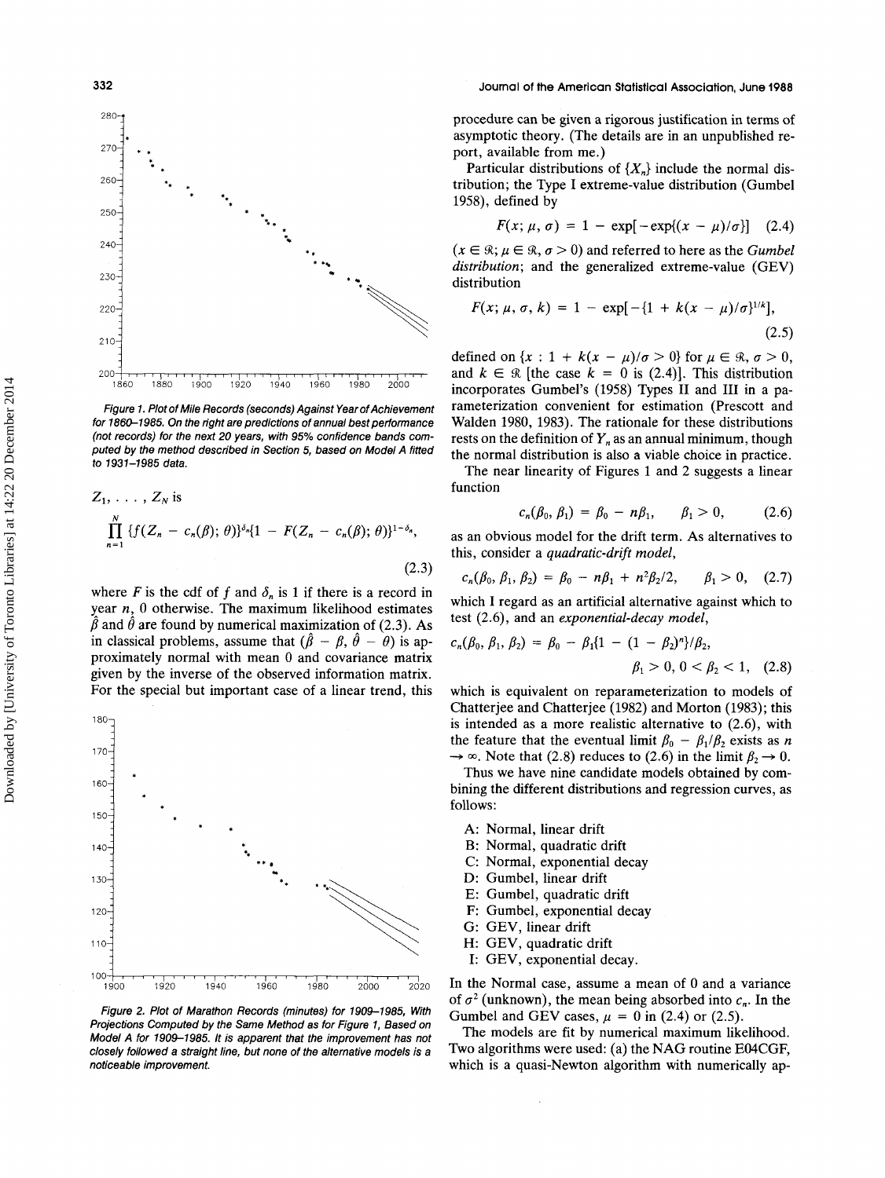

*Figure 1. Plot of Mile Records (seconds) Against Year of Achievement for 1860-1 985. On the right are predictions of annual best performance (not records) for the next 20 years, with 95% confidence bands computed by the method described in Section 5, based on Model A fitted to 7937-1985 data.* 

$$
Z_1, \ldots, Z_N \text{ is}
$$
\n
$$
\prod_{n=1}^N \{f(Z_n - c_n(\beta); \theta)\}^{\delta_n} \{1 - F(Z_n - c_n(\beta); \theta)\}^{1 - \delta_n},
$$
\n(2.3)

where F is the cdf of f and  $\delta_n$  is 1 if there is a record in year *n,* 0 otherwise. The maximum likelihood estimates  $\hat{\beta}$  and  $\hat{\theta}$  are found by numerical maximization of (2.3). As in classical problems, assume that  $(\hat{\beta} - \beta, \hat{\theta} - \theta)$  is approximately normal with mean 0 and covariance matrix given by the inverse of the observed information matrix. For the special but important case of a linear trend, this



*Figure 2. Plot of Marathon Records (minutes) for 1909-1985, With Projections Computed by the Same Method as for Figure 7, Based on Model A for 7909-1985. It is apparent that the improvement has not closely followed a straight line, but none of the alternative models is a noticeable improvement.* 

## **332 Journal** of **the American Statistical Association, June 1988**

procedure can be given a rigorous justification in terms of asymptotic theory. (The details are in an unpublished report, available from me.)

Particular distributions of  $\{X_n\}$  include the normal distribution; the Type I extreme-value distribution (Gumbel **1958),** defined by

$$
F(x; \mu, \sigma) = 1 - \exp[-\exp((x - \mu)/\sigma)] \quad (2.4)
$$

 $(x \in \mathcal{R}; \mu \in \mathcal{R}, \sigma > 0)$  and referred to here as the *Gumbel distribution;* and the generalized extreme-value (GEV) distribution

$$
F(x; \mu, \sigma, k) = 1 - \exp[-\{1 + k(x - \mu)/\sigma\}^{1/k}],
$$
\n(2.5)

defined on  $\{x : 1 + k(x - \mu)/\sigma > 0\}$  for  $\mu \in \mathcal{R}, \sigma > 0$ , and  $k \in \mathcal{R}$  [the case  $k = 0$  is (2.4)]. This distribution incorporates Gumbel's **(1958)** Types I1 and I11 in a parameterization convenient for estimation (Prescott and Walden **1980, 1983).** The rationale for these distributions rests on the definition of  $Y_n$  as an annual minimum, though the normal distribution is also a viable choice in practice.

The near linearity of Figures **1** and **2** suggests a linear function

$$
c_n(\beta_0, \beta_1) = \beta_0 - n\beta_1, \qquad \beta_1 > 0, \qquad (2.6)
$$

as an obvious model for the drift term. **As** alternatives to this, consider a *quadratic-drift model,* 

$$
c_n(\beta_0, \beta_1, \beta_2) = \beta_0 - n\beta_1 + n^2\beta_2/2, \qquad \beta_1 > 0, \quad (2.7)
$$

which I regard as an artificial alternative against which to test **(2.6),** and an *exponential-decay model,* 

$$
c_n(\beta_0, \beta_1, \beta_2) = \beta_0 - \beta_1 \{1 - (1 - \beta_2)^n\}/\beta_2, \beta_1 > 0, 0 < \beta_2 < 1, (2.8)
$$

which is equivalent on reparameterization to models of Chatterjee and Chatterjee **(1982)** and Morton **(1983);** this is intended as a more realistic alternative to **(2.6),** with the feature that the eventual limit  $\beta_0 - \beta_1/\beta_2$  exists as *n*  $\rightarrow \infty$ . Note that (2.8) reduces to (2.6) in the limit  $\beta_2 \rightarrow 0$ .

Thus we have nine candidate models obtained by combining the different distributions and regression curves, as follows:

- A: Normal, linear drift
- B: Normal, quadratic drift
- C: Normal, exponential decay
- D: Gumbel, linear drift
- E: Gumbel, quadratic drift
- F: Gumbel, exponential decay
- G: GEV, linear drift
- H: GEV, quadratic drift
- I: GEV, exponential decay.

In the Normal case, assume a mean of 0 and a variance of  $\sigma^2$  (unknown), the mean being absorbed into  $c_n$ . In the Gumbel and GEV cases,  $\mu = 0$  in (2.4) or (2.5).

The models are fit by numerical maximum likelihood. Two algorithms were used: (a) the NAG routine E04CGF, which is a quasi-Newton algorithm with numerically ap-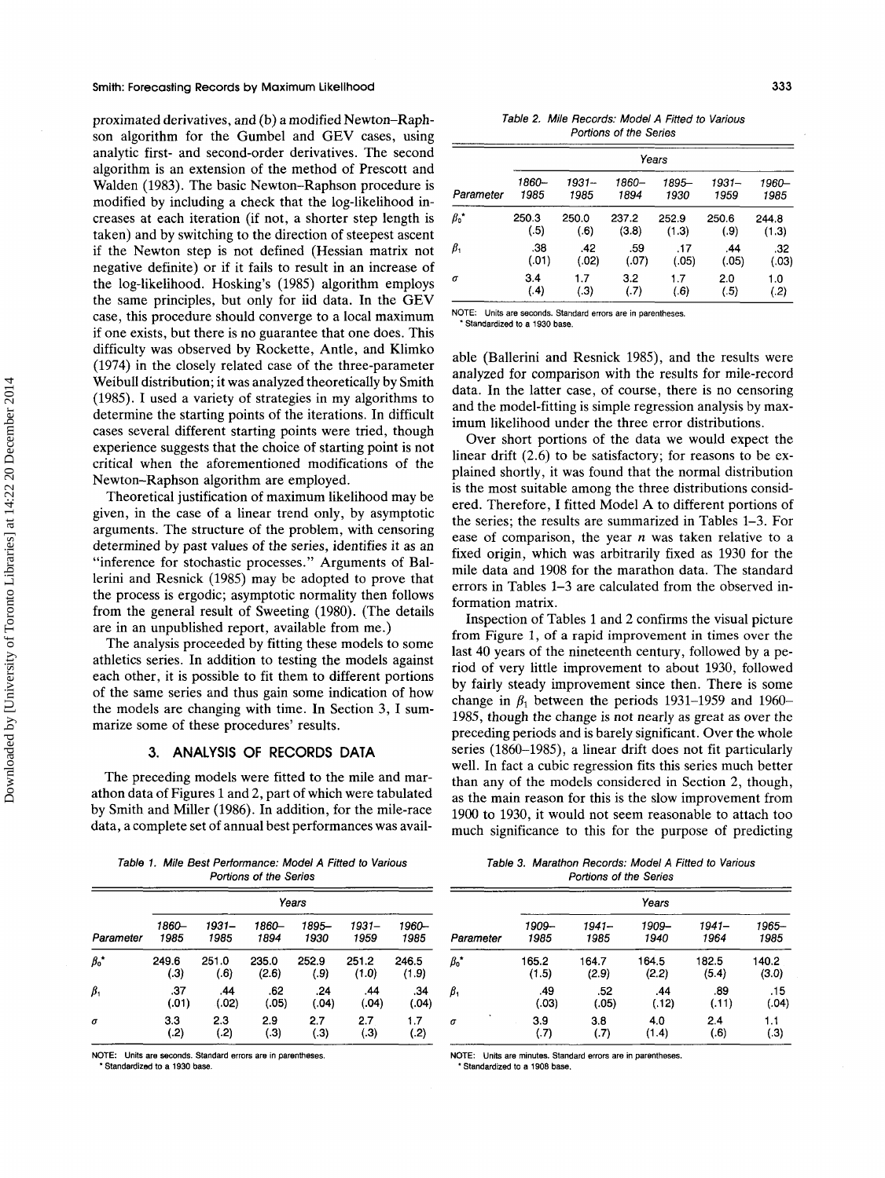#### **Smith: Forecasting Records by Maximum Likelihood 333**

proximated derivatives, and (b) a modified Newton-Raphson algorithm for the Gumbel and GEV cases, using analytic first- and second-order derivatives. The second algorithm is an extension of the method of Prescott and Walden (1983). The basic Newton-Raphson procedure is modified by including a check that the log-likelihood increases at each iteration (if not, a shorter step length is taken) and by switching to the direction of steepest ascent if the Newton step is not defined (Hessian matrix not negative definite) or if it fails to result in an increase of the log-likelihood. Hosking's (1985) algorithm employs the same principles, but only for iid data. In the GEV case, this procedure should converge to a local maximum if one exists, but there is no guarantee that one does. This difficulty was observed by Rockette, Antle, and Klimko (1974) in the closely related case of the three-parameter Weibull distribution; it was analyzed theoretically by Smith (1985). I used a variety of strategies in my algorithms to determine the starting points of the iterations. In difficult cases several different starting points were tried, though experience suggests that the choice of starting point is not critical when the aforementioned modifications of the Newton-Raphson algorithm are employed.

Theoretical justification of maximum likelihood may be given, in the case of a linear trend only, by asymptotic arguments. The structure of the problem, with censoring determined by past values of the series, identifies it as an "inference for stochastic processes." Arguments of Ballerini and Resnick (1985) may be adopted to prove that the process is ergodic; asymptotic normality then follows from the general result of Sweeting (1980). (The details are in an unpublished report, available from me.)

The analysis proceeded by fitting these models to some athletics series. In addition to testing the models against each other, it is possible to fit them to different portions of the same series and thus gain some indication of how the models are changing with time. In Section 3, I summarize some of these procedures' results.

## **3. ANALYSIS OF RECORDS DATA**

The preceding models were fitted to the mile and marathon data of Figures l and 2, part of which were tabulated by Smith and Miller (1986). In addition, for the mile-race data, a complete set of annual best performances was avail-

*Table 1. Mile Best Performance: Model A Fitted to Various Portions of the Series* 

|                   | Years |        |       |       |       |       |  |  |  |  |
|-------------------|-------|--------|-------|-------|-------|-------|--|--|--|--|
| Parameter         | 1860- | 1931–  | 1860- | 1895- | 1931– | 1960- |  |  |  |  |
|                   | 1985  | 1985   | 1894  | 1930  | 1959  | 1985  |  |  |  |  |
| $\beta_0^{\star}$ | 249.6 | 251.0  | 235.0 | 252.9 | 251.2 | 246.5 |  |  |  |  |
|                   | (3)   | (.6)   | (2.6) | (.9)  | (1.0) | (1.9) |  |  |  |  |
| $\beta_1$         | .37   | .44    | .62   | .24   | .44   | .34   |  |  |  |  |
|                   | (.01) | (0.02) | (.05) | (.04) | (.04) | (.04) |  |  |  |  |
| $\sigma$          | 3.3   | 2.3    | 2.9   | 2.7   | 2.7   | 1.7   |  |  |  |  |
|                   | (.2)  | (.2)   | (.3)  | (.3)  | (.3)  | (.2)  |  |  |  |  |

**NOTE:** Units are seconds. Standard errors are in parentheses. **NOTE: Units are minutes. Standard errors are in parentheses** 

\* **Standardized to a 1930 base.** \* **Standardized to a 1908 base.** 

*Table* **2.** *Mile Records: Model A Fitted to Various Portions of the Series* 

|             | Years |       |       |       |       |       |  |  |  |  |
|-------------|-------|-------|-------|-------|-------|-------|--|--|--|--|
| Parameter   | 1860- | 1931– | 1860- | 1895- | 1931– | 1960- |  |  |  |  |
|             | 1985  | 1985  | 1894  | 1930  | 1959  | 1985  |  |  |  |  |
| $\beta_0$ * | 250.3 | 250.0 | 237.2 | 252.9 | 250.6 | 244.8 |  |  |  |  |
|             | (.5)  | (.6)  | (3.8) | (1.3) | (.9)  | (1.3) |  |  |  |  |
| $\beta_1$   | .38   | .42   | .59   | .17   | .44   | .32   |  |  |  |  |
|             | (.01) | (.02) | (.07) | (.05) | (.05) | (.03) |  |  |  |  |
| σ           | 3.4   | 1.7   | 3.2   | 1.7   | 2.0   | 1.0   |  |  |  |  |
|             | (4)   | (.3)  | (.7)  | (.6)  | (.5)  | ( .2) |  |  |  |  |

**NOTE: Units are seconds. Standard errors are** in **parentheses.** 

\* **Standardized** to **a 1930 base.** 

able (Ballerini and Resnick 1985), and the results were analyzed for comparison with the results for mile-record data. In the latter case, of course, there is no censoring and the model-fitting is simple regression analysis by maximum likelihood under the three error distributions.

Over short portions of the data we would expect the linear drift (2.6) to be satisfactory; for reasons to be explained shortly, it was found that the normal distribution is the most suitable among the three distributions considered. Therefore, I fitted Model A to different portions of the series; the results are summarized in Tables 1-3. For ease of comparison, the year *n* was taken relative to a fixed origin, which was arbitrarily fixed as 1930 for the mile data and 1908 for the marathon data. The standard errors in Tables 1-3 are calculated from the observed information matrix.

Inspection of Tables 1 and 2 confirms the visual picture from Figure 1, of a rapid improvement in times over the last 40 years of the nineteenth century, followed by a period of very little improvement to about 1930, followed by fairly steady improvement since then. There is some change in  $\beta_1$  between the periods 1931–1959 and 1960– 1985, though the change is not nearly as great as over the preceding periods and is barely significant. Over the whole series (1860-1985), a linear drift does not fit particularly well. In fact a cubic regression fits this series much better than any of the models considered in Section 2, though, as the main reason for this is the slow improvement from 1900 to 1930, it would not seem reasonable to attach too much significance to this for the purpose of predicting

*Table 3. Marathon Records: Model A Fitted to Various Portions of the Series* 

|             |       |       | Years |       |       |
|-------------|-------|-------|-------|-------|-------|
| Parameter   | 1909– | 1941– | 1909– | 1941– | 1965- |
|             | 1985  | 1985  | 1940  | 1964  | 1985  |
| $\beta_0$ * | 165.2 | 164.7 | 164.5 | 182.5 | 140.2 |
|             | (1.5) | (2.9) | (2.2) | (5.4) | (3.0) |
| $\beta_1$   | .49   | .52   | .44   | .89   | .15   |
|             | (.03) | (.05) | (.12) | (.11) | (.04) |
| σ           | 3.9   | 3.8   | 4.0   | 2.4   | 1.1   |
|             | (.7)  | (.7)  | (1.4) | (.6)  | (.3)  |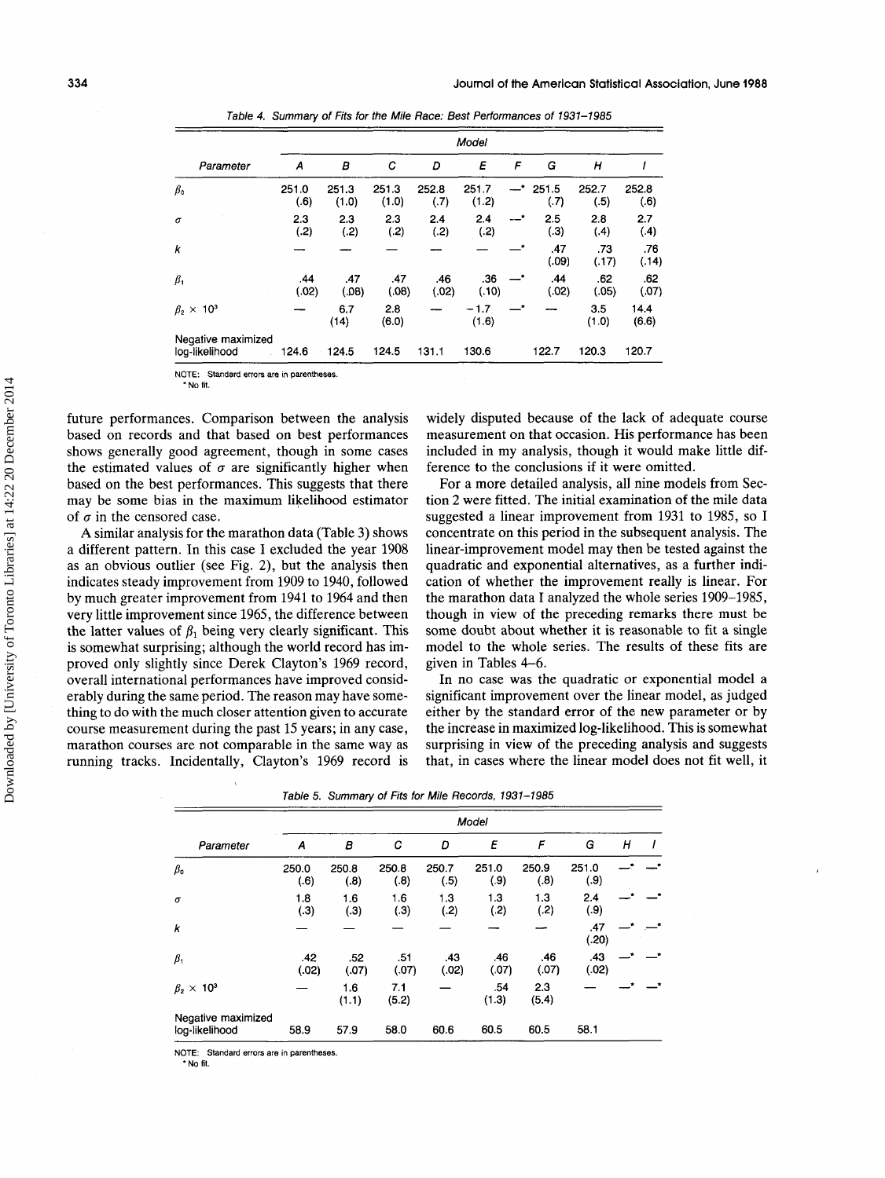|                                      | Model         |                |                |               |                 |                |               |               |               |
|--------------------------------------|---------------|----------------|----------------|---------------|-----------------|----------------|---------------|---------------|---------------|
| Parameter                            | A             | в              | C              | D             | E               | F              | G             | н             |               |
| $\beta_{\rm o}$                      | 251.0<br>(.6) | 251.3<br>(1.0) | 251.3<br>(1.0) | 252.8<br>(.7) | 251.7<br>(1.2)  | —*             | 251.5<br>(.7) | 252.7<br>(.5) | 252.8<br>(.6) |
| σ                                    | 2.3<br>(.2)   | 2.3<br>(.2)    | 2.3<br>(.2)    | 2.4<br>(.2)   | 2.4<br>(.2)     | $-$ *          | 2.5<br>(.3)   | 2.8<br>(.4)   | 2.7<br>(4)    |
| k                                    |               |                |                |               |                 |                | .47<br>(.09)  | .73<br>(.17)  | .76<br>(.14)  |
| $\beta_1$                            | .44<br>(.02)  | .47<br>(0.08)  | .47<br>(.08)   | .46<br>(.02)  | .36<br>(.10)    | $\mathbf{L}^*$ | .44<br>(.02)  | .62<br>(.05)  | .62<br>(.07)  |
| $\beta_2 \times 10^3$                |               | 6.7<br>(14)    | 2.8<br>(6.0)   |               | $-1.7$<br>(1.6) |                |               | 3.5<br>(1.0)  | 14.4<br>(6.6) |
| Negative maximized<br>log-likelihood | 124.6         | 124.5          | 124.5          | 131.1         | 130.6           |                | 122.7         | 120.3         | 120.7         |

*Table 4. Summary of Fits for the Mile Race: Best Performances of 1931-1985* 

**NOTE: Standard errars are in parentheses**  \* No fit.

future performances. Comparison between the analysis based on records and that based on best performances shows generally good agreement, though in some cases the estimated values of  $\sigma$  are significantly higher when based on the best performances. This suggests that there may be some bias in the maximum likelihood estimator of  $\sigma$  in the censored case.

**A** similar analysis for the marathon data (Table 3) shows a different pattern. In this case I excluded the year 1908 as an obvious outlier (see Fig. 2), but the analysis then indicates steady improvement from 1909 to 1940, followed by much greater improvement from 1941 to 1964 and then very little improvement since 1965, the difference between the latter values of  $\beta_1$  being very clearly significant. This is somewhat surprising; although the world record has improved only slightly since Derek Clayton's 1969 record, overall international performances have improved considerably during the same period. The reason may have something to do with the much closer attention given to accurate course measurement during the past 15 years; in any case, marathon courses are not comparable in the same way as running tracks. Incidentally, Clayton's 1969 record is

widely disputed because of the lack of adequate course measurement on that occasion. His performance has been included in my analysis, though it would make little difference to the conclusions if it were omitted.

For a more detailed analysis, all nine models from Section 2 were fitted. The initial examination of the mile data suggested a linear improvement from 1931 to 1985, so I concentrate on this period in the subsequent analysis. The linear-improvement model may then be tested against the quadratic and exponential alternatives, as a further indication of whether the improvement really is linear. For the marathon data I analyzed the whole series 1909-1985, though in view of the preceding remarks there must be some doubt about whether it is reasonable to fit a single model to the whole series. The results of these fits are given in Tables 4-6.

In no case was the quadratic or exponential model a significant improvement over the linear model, as judged either by the standard error of the new parameter or by the increase in maximized log-likelihood. This is somewhat surprising in view of the preceding analysis and suggests that, in cases where the linear model does not fit well, it

| Table 5. Summary of Fits for Mile Records, 1931–1985 |  |  |  |  |  |  |  |
|------------------------------------------------------|--|--|--|--|--|--|--|
|------------------------------------------------------|--|--|--|--|--|--|--|

|                                      |               |               |               |               | Model         |               |               |   |  |
|--------------------------------------|---------------|---------------|---------------|---------------|---------------|---------------|---------------|---|--|
| Parameter                            | A             | В             | С             | D             | E             | F             | G             | Н |  |
| $\beta_{\text{o}}$                   | 250.0<br>(.6) | 250.8<br>(.8) | 250.8<br>(.8) | 250.7<br>(.5) | 251.0<br>(.9) | 250.9<br>(.8) | 251.0<br>(.9) |   |  |
| $\sigma$                             | 1.8<br>(.3)   | 1.6<br>(.3)   | 1.6<br>(.3)   | 1.3<br>(.2)   | 1.3<br>(.2)   | 1.3<br>(.2)   | 2.4<br>(.9)   |   |  |
| k                                    |               |               |               |               |               |               | .47<br>(.20)  |   |  |
| $\beta_1$                            | .42<br>(.02)  | .52<br>(.07)  | .51<br>(.07)  | .43<br>(.02)  | .46<br>(.07)  | .46<br>(.07)  | .43<br>(.02)  |   |  |
| $\beta_2 \times 10^3$                |               | 1.6<br>(1.1)  | 7.1<br>(5.2)  |               | .54<br>(1.3)  | 23<br>(5.4)   |               |   |  |
| Negative maximized<br>log-likelihood | 58.9          | 57.9          | 58.0          | 60.6          | 60.5          | 60.5          | 58.1          |   |  |

**NOTE: Standard errors are in parentheses** 

\* **No fit.**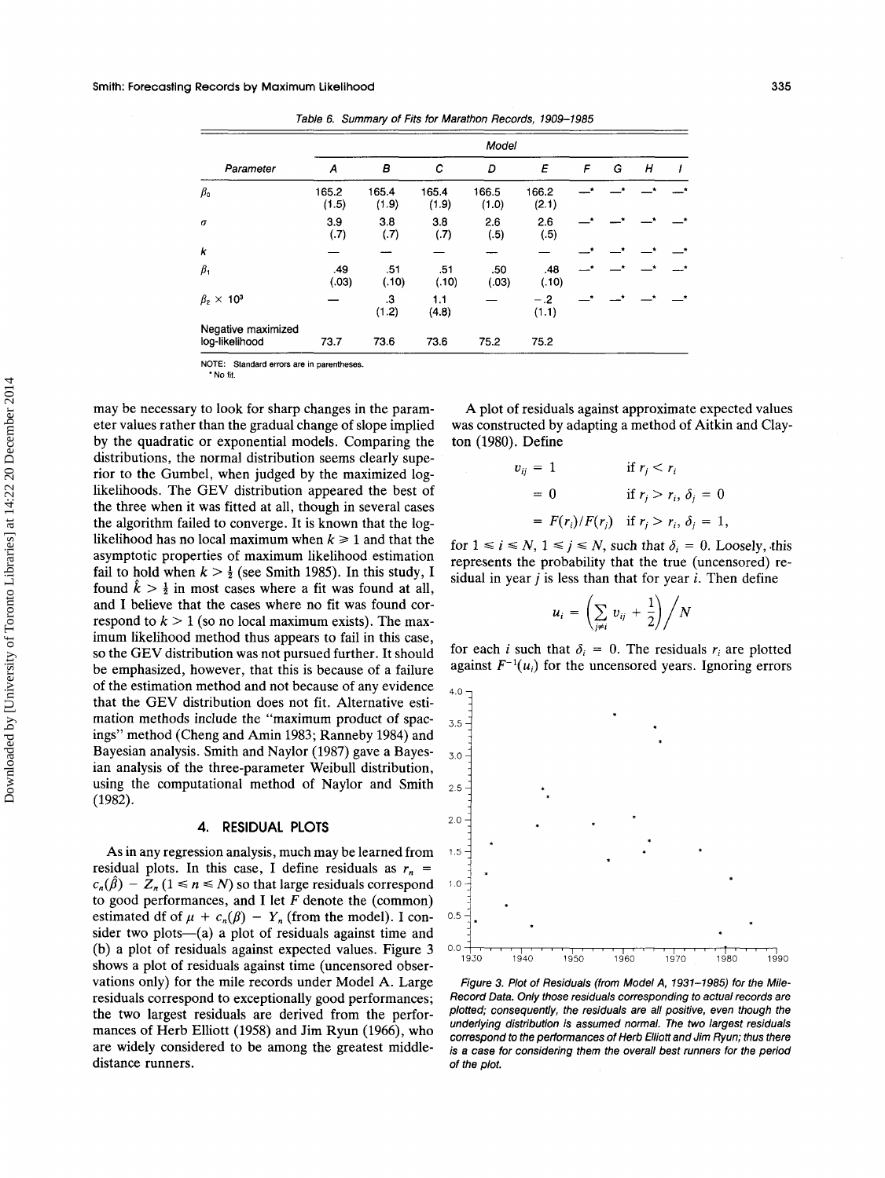|                                      |                |                |                | Model          |                |   |         |               |  |
|--------------------------------------|----------------|----------------|----------------|----------------|----------------|---|---------|---------------|--|
| Parameter                            | A              | в              | с              | D              | E              | F | G       | Н             |  |
| $\beta_{\text{o}}$                   | 165.2<br>(1.5) | 165.4<br>(1.9) | 165.4<br>(1.9) | 166.5<br>(1.0) | 166.2<br>(2.1) |   |         | - *           |  |
| $\sigma$                             | 3.9<br>(.7)    | 3.8<br>(.7)    | 3.8<br>(.7)    | 2.6<br>(.5)    | 2.6<br>(.5)    |   |         |               |  |
| k                                    |                |                |                |                |                |   |         |               |  |
| $\beta_1$                            | .49<br>(.03)   | .51<br>(.10)   | .51<br>(.10)   | .50<br>(.03)   | .48<br>(.10)   |   | $\star$ | $\rightarrow$ |  |
| $\beta_2 \times 10^3$                |                | .3<br>(1.2)    | 1.1<br>(4.8)   |                | $-.2$<br>(1.1) |   |         |               |  |
| Negative maximized<br>log-likelihood | 73.7           | 73.6           | 73.6           | 75.2           | 75.2           |   |         |               |  |

*Table* **6.** *Summary of Fits for Marathon Records,* **1909-1985** 

**NOTE: Standard errors are** in **parentheses.** 

\* **No** fit.

may be necessary to look for sharp changes in the parameter values rather than the gradual change of slope implied by the quadratic or exponential models. Comparing the distributions, the normal distribution seems clearly superior to the Gumbel, when judged by the maximized loglikelihoods. The GEV distribution appeared the best of the three when it was fitted at all, though in several cases the algorithm failed to converge. It is known that the loglikelihood has no local maximum when  $k \geq 1$  and that the asymptotic properties of maximum likelihood estimation fail to hold when  $k > \frac{1}{2}$  (see Smith 1985). In this study, I found  $k > \frac{1}{2}$  in most cases where a fit was found at all, and I believe that the cases where no fit was found correspond to  $k > 1$  (so no local maximum exists). The maximum likelihood method thus appears to fail in this case, so the GEV distribution was not pursued further. It should be emphasized, however, that this is because of a failure of the estimation method and not because of any evidence that the GEV distribution does not fit. Alternative estimation methods include the "maximum product of spacings" method (Cheng and Amin 1983; Ranneby 1984) and Bayesian analysis. Smith and Naylor (1987) gave a Bayesian analysis of the three-parameter Weibull distribution, using the computational method of Naylor and Smith (1982).

#### **4. RESIDUAL PLOTS**

As in any regression analysis, much may be learned from residual plots. In this case, I define residuals as  $r_n =$  $c_n(\hat{\beta}) - Z_n (1 \le n \le N)$  so that large residuals correspond to good performances, and I let *F* denote the (common) estimated df of  $\mu + c_n(\beta) - Y_n$  (from the model). I consider two plots— $(a)$  a plot of residuals against time and (b) a plot of residuals against expected values. Figure 3 shows a plot of residuals against time (uncensored observations only) for the mile records under Model A. Large residuals correspond to exceptionally good performances; the two largest residuals are derived from the performances of Herb Elliott (1958) and Jim Ryun (1966), who are widely considered to be among the greatest middledistance runners.

A plot of residuals against approximate expected values was constructed by adapting a method of Aitkin and Clayton (1980). Define

$$
v_{ij} = 1 \quad \text{if } r_j < r_i
$$
\n
$$
= 0 \quad \text{if } r_j > r_i, \delta_j = 0
$$
\n
$$
= F(r_i) / F(r_j) \quad \text{if } r_j > r_i, \delta_j = 1,
$$

for  $1 \le i \le N$ ,  $1 \le j \le N$ , such that  $\delta_i = 0$ . Loosely, this represents the probability that the true (uncensored) residual in year *j* is less than that for year *i.* Then define

$$
u_i = \left(\sum_{j\neq i} v_{ij} + \frac{1}{2}\right) / N
$$

for each *i* such that  $\delta_i = 0$ . The residuals  $r_i$  are plotted against  $F^{-1}(u_i)$  for the uncensored years. Ignoring errors



*Figure* **3.** *Plot of Residuals (from Model A,* **1931-1985)** *for the Mile-Record Data. Only those residuals corresponding to actual records are plotted; consequently, the residuals are all positive, even though the underlying distribution is assumed normal. The two largest residuals correspond to the performances of Herb Elliott and Jim Ryun; thus there is a case for considering them the overall best runners for the period of the plot.*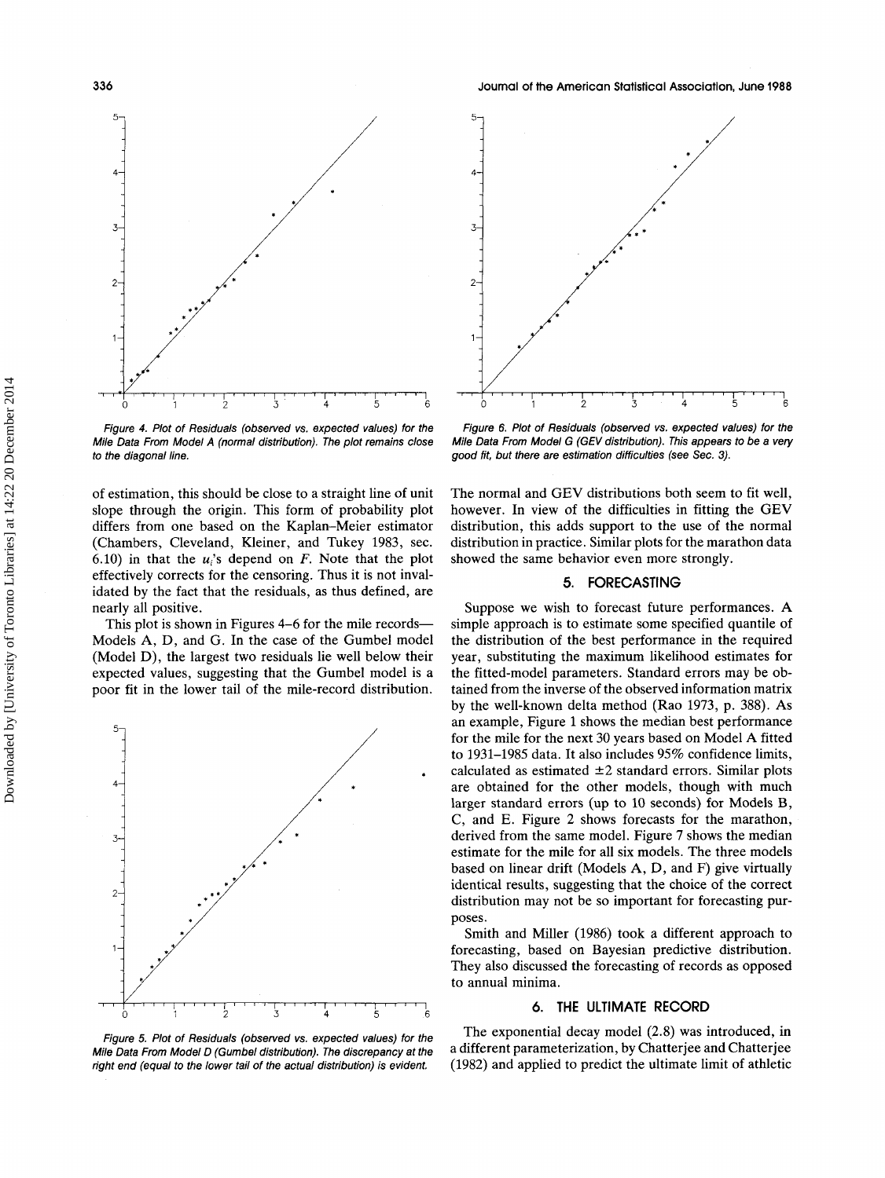

*Figure 4. Plot of Residuals (observed vs. expected values) for the Mile Data From Model A (normal distribution). The plot remains close to the diagonal line.* 

of estimation, this should be close to a straight line of unit slope through the origin. This form of probability plot differs from one based on the Kaplan-Meier estimator (Chambers, Cleveland, Kleiner, and Tukey 1983, sec. 6.10) in that the  $u_i$ 's depend on *F*. Note that the plot effectively corrects for the censoring. Thus it is not invalidated by the fact that the residuals, as thus defined, are nearly all positive.

This plot is shown in Figures 4–6 for the mile records— Models **A,** D, and G. In the case of the Gumbel model (Model D), the largest two residuals lie well below their expected values, suggesting that the Gumbel model is a poor fit in the lower tail of the mile-record distribution.



*Figure 5. Plot of Residuals (observed vs. expected values) for the Mile Data From Model D (Gumbel distribution). The discrepancy at the right end (equal to the lower tail of the actual distribution) is evident.* 



*Figure 6. Plot of Residuals (observed vs. expected values) for the Mile Data From Model G (GEV distribution). This appears to be a very good fit, but there are estimation difficulties (see Sec. 3).* 

The normal and GEV distributions both seem to fit well, however. In view of the difficulties in fitting the GEV distribution, this adds support to the use of the normal distribution in practice. Similar plots for the marathon data showed the same behavior even more strongly.

## **5. FORECASTING**

Suppose we wish to forecast future performances. **A**  simple approach is to estimate some specified quantile of the distribution of the best performance in the required year, substituting the maximum likelihood estimates for the fitted-model parameters. Standard errors may be obtained from the inverse of the observed information matrix by the well-known delta method (Rao 1973, p. 388). **As**  an example, Figure 1 shows the median best performance for the mile for the next 30 years based on Model **A** fitted to 1931-1985 data. It also includes 95% confidence limits, calculated as estimated  $\pm 2$  standard errors. Similar plots are obtained for the other models, though with much larger standard errors (up to 10 seconds) for Models B, *C,* and E. Figure 2 shows forecasts for the marathon, derived from the same model. Figure 7 shows the median estimate for the mile for all six models. The three models based on linear drift (Models **A,** D, and F) give virtually identical results, suggesting that the choice of the correct distribution may not be so important for forecasting purposes.

Smith and Miller (1986) took a different approach to forecasting, based on Bayesian predictive distribution. They also discussed the forecasting of records as opposed to annual minima.

## **6. THE ULTIMATE RECORD**

The exponential decay model (2.8) was introduced, in a different parameterization, by Chatterjee and Chatterjee (1982) and applied to predict the ultimate limit of athletic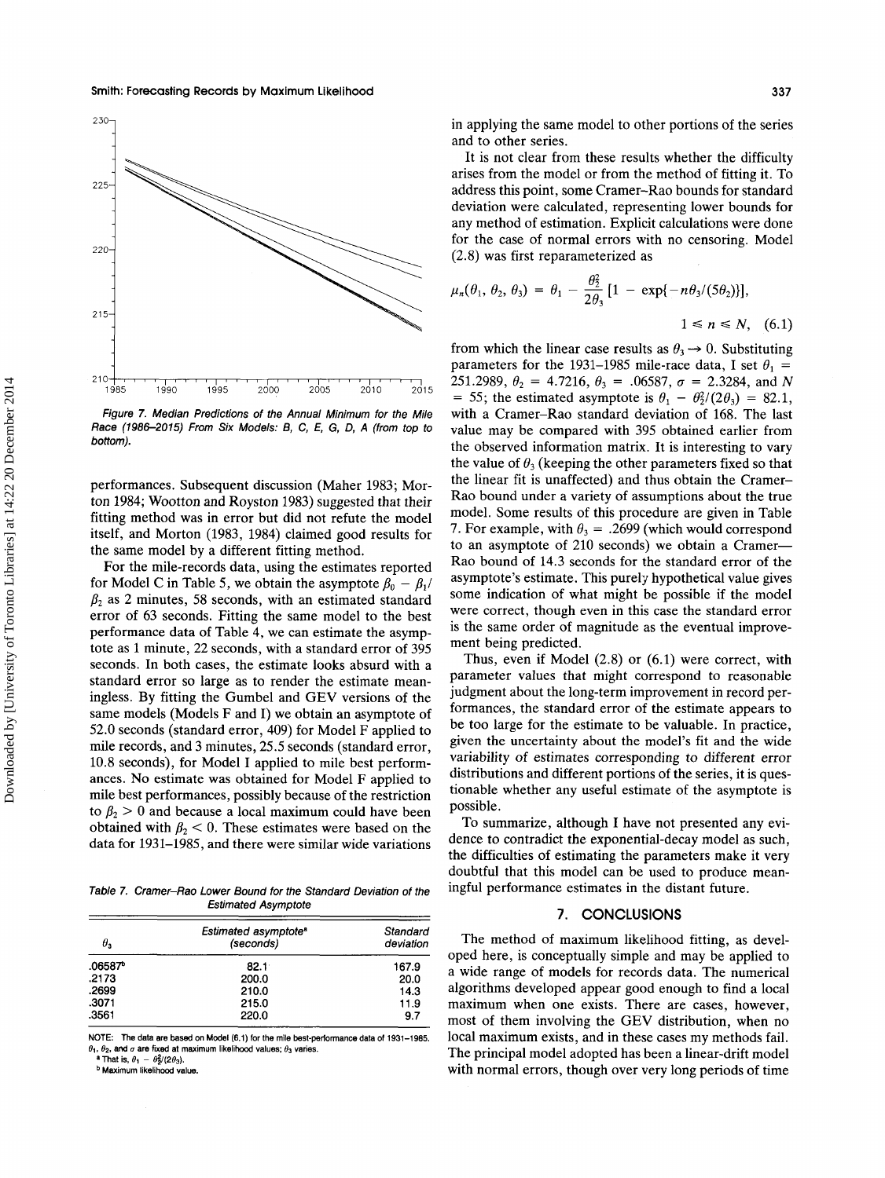

*Figure 7. Median Predictions of the Annual Minimum for the Mile Race (1986-2015) From Six Models: B, C, E, G, D, A (from top to bottom).* 

performances. Subsequent discussion (Maher 1983; Morton 1984; Wootton and Royston 1983) suggested that their fitting method was in error but did not refute the model itself, and Morton (1983, 1984) claimed good results for the same model by a different fitting method.

For the mile-records data, using the estimates reported for Model C in Table 5, we obtain the asymptote  $\beta_0 - \beta_1$  $\beta_2$  as 2 minutes, 58 seconds, with an estimated standard error of 63 seconds. Fitting the same model to the best performance data of Table 4, we can estimate the asymptote as 1 minute, 22 seconds, with a standard error of 395 seconds. In both cases, the estimate looks absurd with a standard error so large as to render the estimate meaningless. By fitting the Gumbel and GEV versions of the same models (Models F and I) we obtain an asymptote of 52.0 seconds (standard error, 409) for Model F applied to mile records, and 3 minutes, 25.5 seconds (standard error, 10.8 seconds), for Model I applied to mile best performances. No estimate was obtained for Model F applied to mile best performances, possibly because of the restriction to  $\beta_2 > 0$  and because a local maximum could have been obtained with  $\beta_2$  < 0. These estimates were based on the data for 1931-1985, and there were similar wide variations

*Table 7. Cramer-Rao Lower Bound for the Standard Deviation of the Estimated Asymptote* 

| $\theta_{\rm a}$ | Estimated asymptote <sup>®</sup><br>(seconds) | Standard<br>deviation |
|------------------|-----------------------------------------------|-----------------------|
| .06587           | $82.1^{\circ}$                                | 167.9                 |
| .2173            | 200.0                                         | 20.0                  |
| .2699            | 210.0                                         | 14.3                  |
| .3071            | 215.0                                         | 11.9                  |
| .3561            | 220.0                                         | 9.7                   |

**NOTE: me data are based on Model (6.1) for the** mile **best-performance data of 1931-1985.**   $\theta_1$ ,  $\theta_2$ , and  $\sigma$  are fixed at maximum likelihood values;  $\theta_3$  varies.

**a** That is,  $\theta_1 - \theta_2^2/(2\theta_3)$ . **b** Maximum likelihood value in applying the same model to other portions of the series and to other series.

It is not clear from these results whether the difficulty arises from the model or from the method of fitting it. To address this point, some Cramer-Rao bounds for standard deviation were calculated, representing lower bounds for any method of estimation. Explicit calculations were done for the case of normal errors with no censoring. Model (2.8) was first reparameterized as

$$
u_n(\theta_1, \theta_2, \theta_3) = \theta_1 - \frac{\theta_2^2}{2\theta_3} [1 - \exp\{-n\theta_3/(5\theta_2)\}],
$$
  

$$
1 \le n \le N, \quad (6.1)
$$

from which the linear case results as  $\theta_3 \rightarrow 0$ . Substituting parameters for the 1931–1985 mile-race data, I set  $\theta_1$  = 251.2989,  $\theta_2 = 4.7216$ ,  $\theta_3 = .06587$ ,  $\sigma = 2.3284$ , and *N* = 55; the estimated asymptote is  $\theta_1 - \theta_2^2/(2\theta_3) = 82.1$ , with a Cramer-Rao standard deviation of 168. The last value may be compared with 395 obtained earlier from the observed information matrix. It is interesting to vary the value of  $\theta_3$  (keeping the other parameters fixed so that the linear fit is unaffected) and thus obtain the Cramer-Rao bound under a variety of assumptions about the true model. Some results of this procedure are given in Table 7. For example, with  $\theta_3 = .2699$  (which would correspond to an asymptote of 210 seconds) we obtain a Cramer-Rao bound of 14.3 seconds for the standard error of the asymptote's estimate. This purely hypothetical value gives some indication of what might be possible if the model were correct, though even in this case the standard error is the same order of magnitude as the eventual improvement being predicted.

Thus, even if Model (2.8) or (6.1) were correct, with parameter values that might correspond to reasonable judgment about the long-term improvement in record performances, the standard error of the estimate appears to be too large for the estimate to be valuable. In practice, given the uncertainty about the model's fit and the wide variability of estimates corresponding to different error distributions and different portions of the series, it is questionable whether any useful estimate of the asymptote is possible.

To summarize, although I have not presented any evidence to contradict the exponential-decay model as such, the difficulties of estimating the parameters make it very doubtful that this model can be used to produce meaningful performance estimates in the distant future.

#### **7. CONCLUSIONS**

The method of maximum likelihood fitting, as developed here, is conceptually simple and may be applied to a wide range of models for records data. The numerical algorithms developed appear good enough to find a local maximum when one exists. There are cases, however, most of them involving the GEV distribution, when no local maximum exists, and in these cases my methods fail. The principal model adopted has been a linear-drift model with normal errors, though over very long periods of time